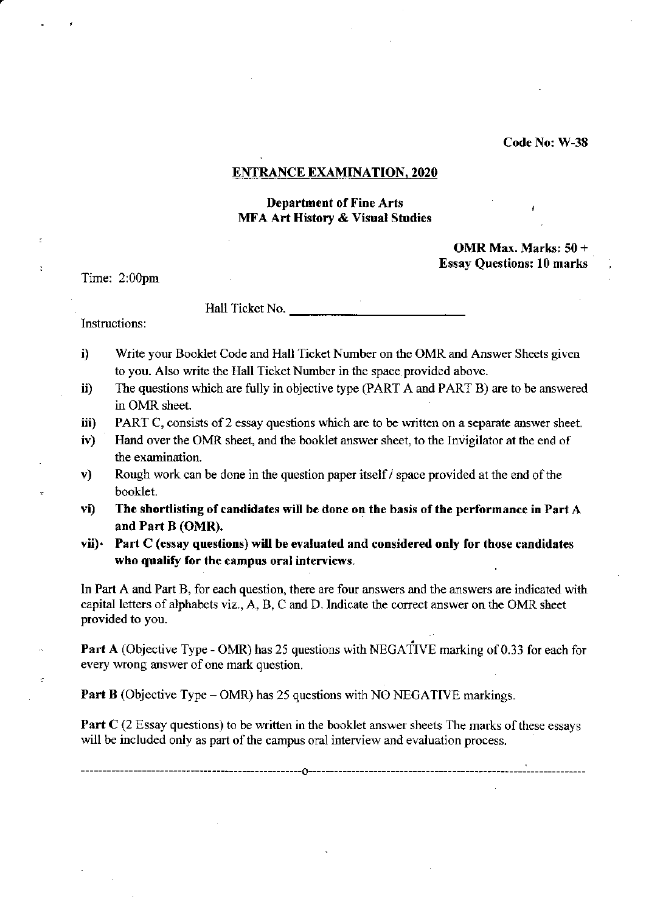Code No: W-38

### ENTRANCE EXAMINATION, 2020

## Department of Fine Arts MFA Art History & Visual Studies

# OMR Max. Marks: 50 + Essay Questions: 10 marks

Time: 2:00pm

Hall Ticket No.

Instructions:

- i) Write your Booklet Code and Hall Ticket Number on the OMR and Answer Sheets given to you. Also write the Hall Ticket Number in the space provided above.
- ii) The questions which are fully in objective type (PART A and PART B) are to be answered in OMR sheet.
- iii) PART C, consists of 2 essay questions which are to be written on a separate answer sheet.
- iv) Hand over the OMR sheet, and the booklet answer sheet, to the Invigilator at the end of the examination.
- $v$ ) Rough work can be done in the question paper itself  $\ell$  space provided at the end of the booklet.
- vi) The shortlisting of candidates will be done on the basis of the performance in Part  $A$ and Part B (OMR).
- vii)· Part C (essay questions) will be evaluated and considered only for those candidates who qualify for the campus oral interviews.

In Part A and Part B, for each question, there are four answers and the answers are indicated with capital letters of alphabets viz., A, B, C and D. Indicate the correct answer on the OMR sheet provided to you.

Part A (Objective Type - OMR) has 25 questions with NEGATIVE marking of *0.33* for each for every wrong answer of one mark question.

Part B (Objective Type - OMR) has 25 questions with NO NEGATIVE markings.

Part C (2 Essay questions) to be written in the booklet answer sheets The marks of these essays will be included only as part of the campus oral interview and evaluation process.

---------------------------------------------------0----------------------------------------------------------------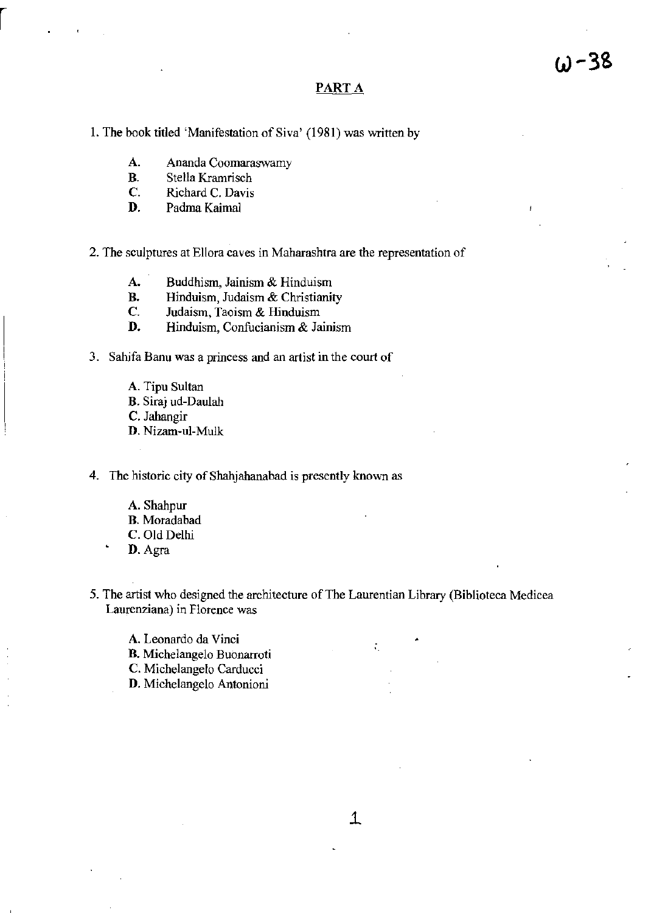### PART A

1. The book titled 'Manifestation of Siva' (1981) was written by

- A. Ananda Coomaraswamy
- B. Stella Kramrisch

r

- C. Richard C. Davis
- D. Padma Kaimal

#### 2. The sculptures at Ellora caves in Maharashtra are the representation of

- A. Buddhism, Jainism & Hinduism
- **B.** Hinduism, Judaism & Christianity<br>**C.** Judaism, Taoism & Hinduism
- Judaism, Taoism & Hinduism
- D. Hinduism, Confucianism & Jainism
- 3. Sahifa Banu was a princess and an artist in the court of
	- A. Tipu Sultan
	- B. Siraj ud-Daulah
	- C. Jahangir
	- D. Nizam-ul-Mulk
- 4. The historic city of Shahjahanabad is presently known as
	- A. Shahpur
	- B. Moradabad
	- C. Old Delhi
	- D. Agra
- 5. The artist who designed the architecture of The Laurentian Library (Biblioteca Medicea Laurenziana) in Florence was
	- A. Leonardo da Vinci •
	- B. Michelangelo Buonarroti
	- C. Michelangelo Carducci
	- D. Michelangelo Antonioni

1.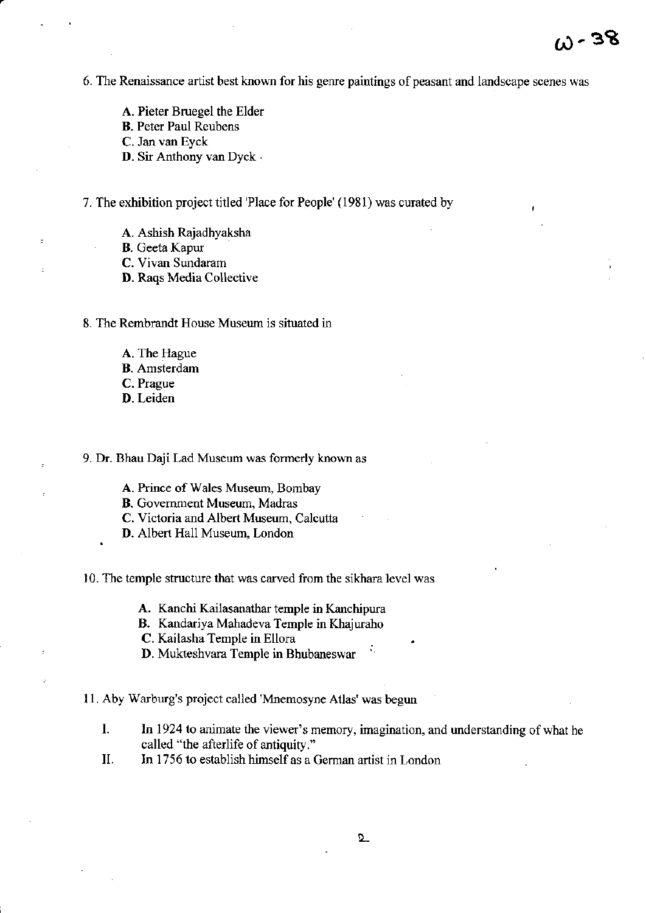6. The Renaissance artist best known for his geme paintings of peasant and landscape scenes was

- A. Pieter Bruegel the Elder
- B. Peter Paul Reubens
- C. Jan van Eyck
- D. Sir Anthony van Dyck .

7. The exhibition project titled 'Place for People' (1981) was curated by

- A. Ashish Rajadhyaksha
- B. Geeta Kapur
- C. Vivan Sundaram
- D. Raqs Media Collective

8. The Rembrandt House Museum is situated in

- A. The Hague
- B. Amsterdam
- C. Prague
- D. Leiden

9. Dr. Bhau Daji Lad Museum was fonnerly known as

A. Prince of Wales Museum, Bombay

B. Government Museum, Madras

- C. Victoria and Albert Museum, Calcutta
- D. Albert Hall Museum, London

10. The temple structure that was carved from the sikhara level was

- A. Kanchi Kailasanathar temple in Kanchipura
- B. Kandariya Mahadeva Temple in Khajuraho

C. Kailasha Temple in Ellora

D. Mukteshvara Temple in Bhubaneswar

11. Aby Warburg's project called 'Mnemosyne Atlas' was begun

- I. In 1924 to animate the viewer's memory, imagination, and understanding of what he called "'the afterlife of antiquity."
- II. In 1756 to establish himself as a German artist in London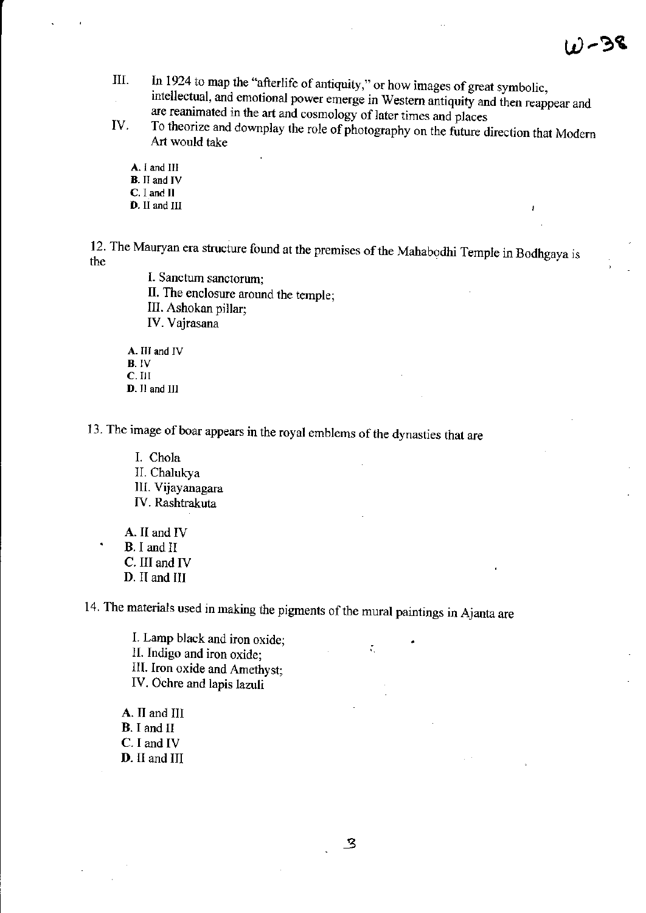- III. In 1924 to map the "afterlife of antiquity," or how images of great symbolic, intellectual, and emotional power emerge in Western antiquity and then reappear and  $\mathbb{R}^2$ are reanimated in the art and cosmology of later times and places
- IV. To theorize and downplay the role of photography on the future direction that Modern Art would take

A. I and III B. II and IV C. I and II

D. II and III

12. The Mauryan era structure found at the premises of the Mahabodhi Temple in Bodhgaya is the

I. Sanctum sanctorum; II. The enclosure around the temple; III. Ashokan pillar; IV. Vajrasana

A. III and IV B.IV c.Il! D. II and III

13. The image of boar appears in the royal emblems of the dynasties that are

I. Chola II. Chalukya Ill. Vijayanagara IV. Rashtrakuta

A. II and IV B. I and II C. III and IV D. II and III

14. The materials used in making the pigments of the mural paintings in Ajanta are

- I. Lamp black and iron oxide; II. Indigo and iron oxide; III. Iron oxide and Amethyst; IV. Ochre and lapis lazuli
- A. II and III B. I and II C. I and IV D. II and III

 $\zeta \sim \frac{4}{3}$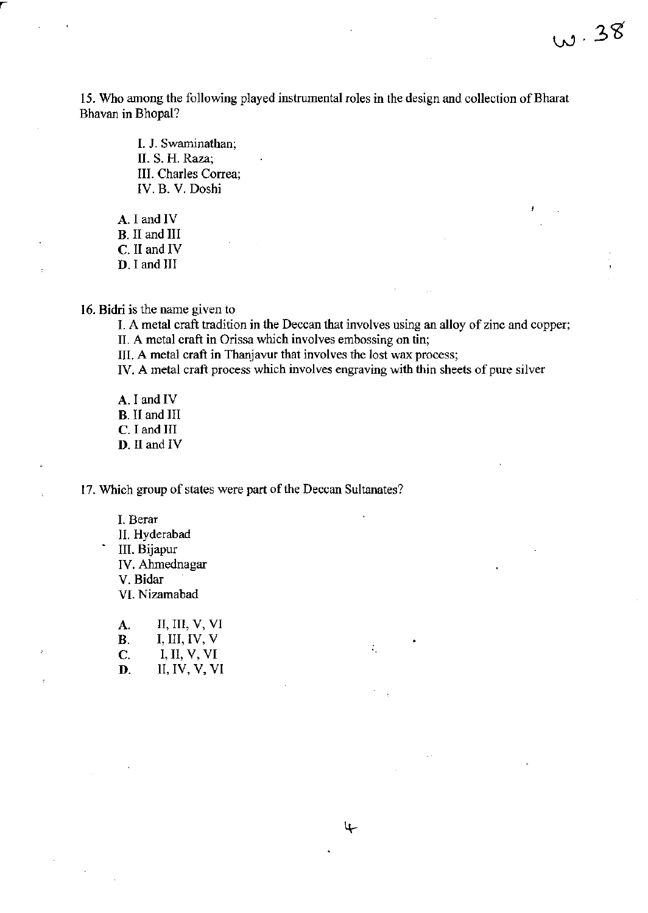**15. Who among the following played instrumental roles in the design and collection** of Bharat Bhavan in Bhopal?

 $w.38$ 

**I. J. Swaminathan;**  II. S. H. Raza; III. Charles Correa; IV. B. V. Doshi

A. I and IV B. II and III C. II and IV D. I and III

**16. Bidri is the name given to** 

I. **A metal craft tradition in the Deccan that involves using an alloy of zinc and copper; II. A metal craft in Orissa which involves embossing on tin;** 

÷.

عها

**III. A metal craft in Thanjavur that involves the lost wax process;** 

**IV. A metal craft process which involves engraving with thin sheets** of pure **silver** 

A. I and IV B. II and III C. I and III D. II and IV

**17. Which group of states were part of the Deccan Sultanates?** 

**I. Berar** 

II. Hyderabad

III. Bijapur

IV. Ahmednagar

V. Bidar

VI. Nizamabad

 $A.$  II, III, V, VI  $\mathbf{B}$ . I, III, IV, V  $C.$  I, II, V, VI **D.** II, IV, V, VI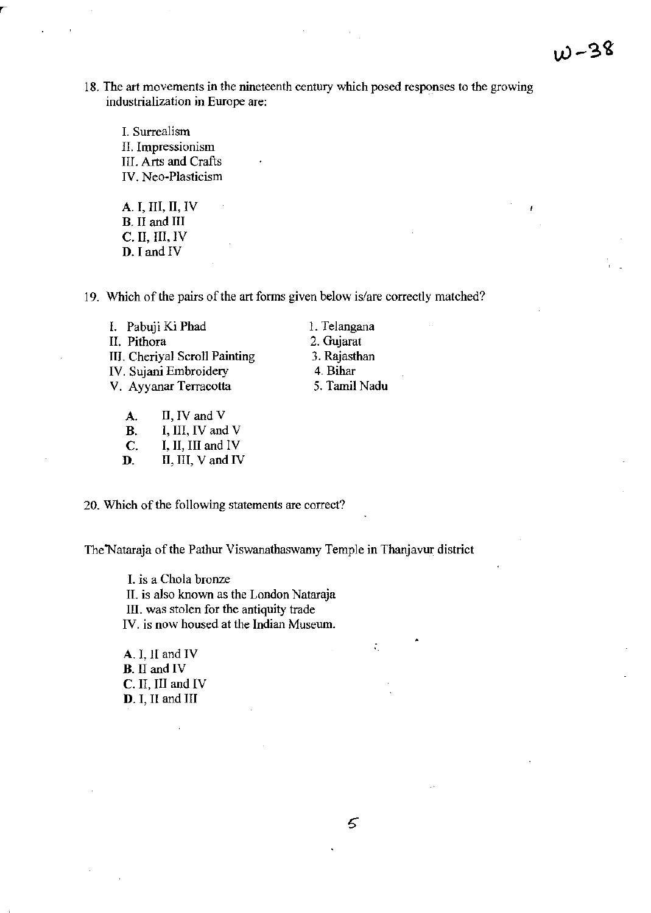18. The art movements in the nineteenth century which posed responses to the growing industrialization in Europe are:

I. Surrealism II. Impressionism III. Arts and Crafts IV. Neo-Plasticism

A. I, III, II, IV B. II and III C. II, III, IV D. I and IV

19. Which of the pairs of the art forms given below is/are correctly matched?

1. Telangana 2. Gujarat 3. Rajasthan 4. Bihar

5. Tamil Nadu

I. Pabuji Ki Phad II. Pithora III. Cheriyal Scroll Painting IV. Sujani Embroidery V. Ayyanar Terracotta

A. II, IV and V

- B. I, III, IV and V
- C. I, II, III and IV
- $\mathbf{D}$ . II, III, V and IV

20. Which of the following statements are correct?

TheNataraja of the Pathur Viswanathaswamy Temple in Thanjavur district

I. is a Chola bronze II. is also known as the London Nataraja III. was stolen for the antiquity trade IV. is now housed at the Indian Museum.

A. I, II and IV B. II and IV C. II, III and IV D. I, II and III

 $\mathcal{L}_{\mathcal{D}}$ 

•

÷,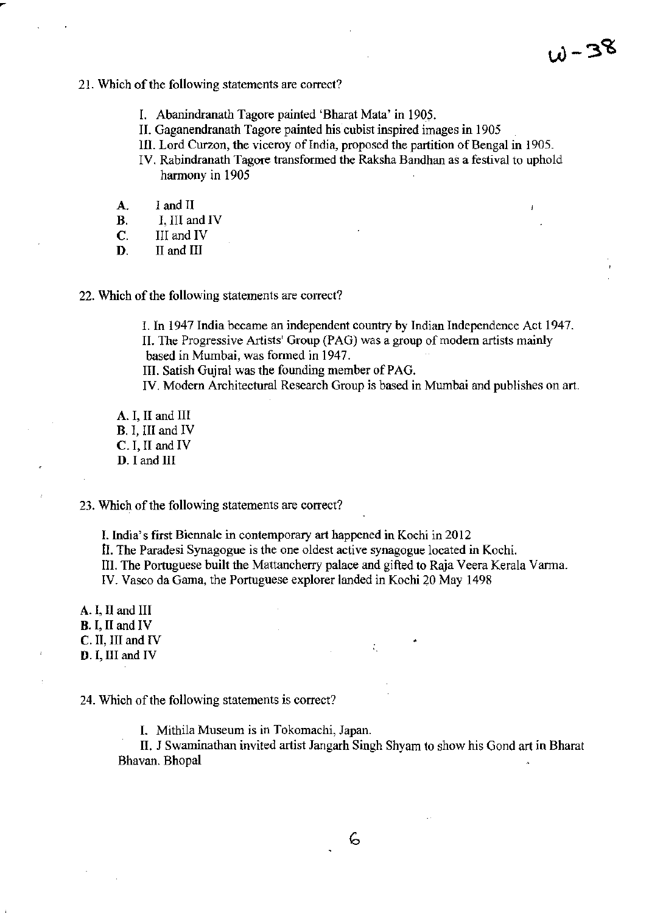#### 21. Which of the following statements are correct?

- I. Abanindranath Tagore painted 'Bharat Mata' in 1905.
- II. Gaganendranath Tagore painted his cubist inspired images in 1905
- III. Lord Curzon, the viceroy of India, proposed the partition of Bengal in 1905.
- IV. Rabindranath Tagore transfonned the Raksha Bandhan as a festival to uphold harmony in 1905
- A. I and II
- B. I, III and IV
- C. III and IV
- D. II and III
- 22. Which of the following statements are correct?

I. In 1947 India became an independent country by Indian Independence Act 1947. II. The Progressive Artists' Group (PAG) was a group of modern artists mainly based in Mumbai, was fonned in 1947. III. Satish Gujral was the founding member of PAG.

IV. Modern Architectural Research Group is based in Mumbai and publishes on art.

A. I, II and III B. I, III and IV C.I, II and IV D.I and III

23. Which of the following statements are correct?

I. India's first Biennale in contemporary art happened in Kochi in 2012

n. The Paradesi Synagogue is the one oldest active synagogue located in Kochi.

III. The Portuguese built the Mattancherry palace and gifted to Raja Veera Kerala Vanna.

IV. Vasco da Gama, the Portuguese explorer landed in Kochi 20 May 1498

A. I, II and III B. I, II and IV C. II, III and IV D. I, III and IV

24. Which of the following statements is correct?

I. Mithila Museum is in Tokomachi, Japan.

II. J Swaminathan invited artist Jangarh Singh Shyam to show his Gond art in Bharat Bhavan. Bhopal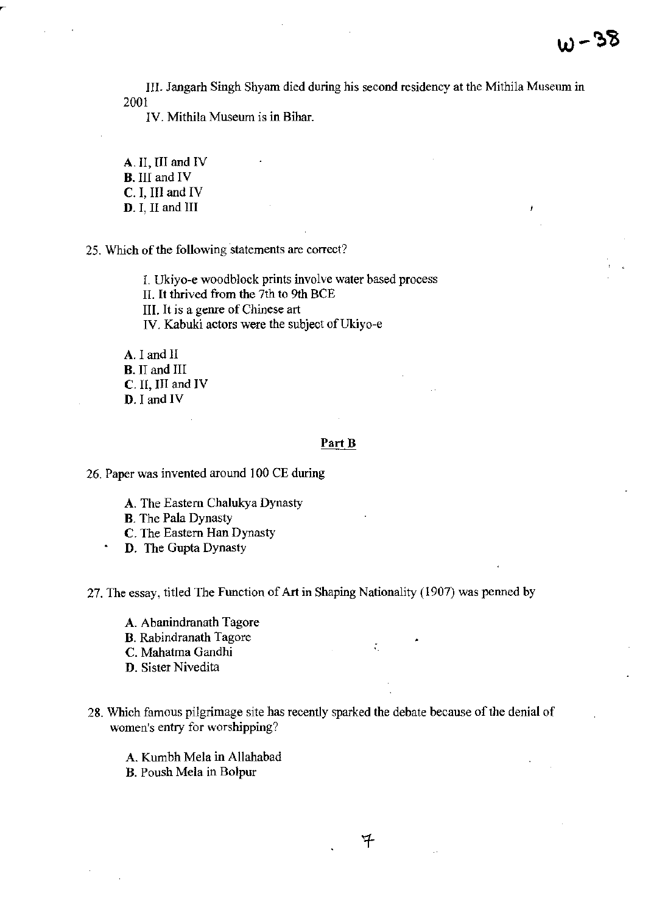**III. Jangarh Singh Shyam died during his second residency at the Mithila Museum in**  2001

**IV. Mithila Museum is in Bihar.** 

A. II, III and IV B. III and IV C. I, III and IV D. I, II and 1II

**25. 'Which** of the **following statements are correct?** 

**I. Ukiyo-e woodblock prints involve water based process**  II. It thrived from the 7th to 9th BCE **III. It is a genre of Chinese art IV. Kabuki actors were the subject ofUkiyo-e** 

A. I and II B. II and 1II C. II, III and IV D. I and IV

## Part B

**26. Paper was invented around 100 CE during** 

A. The Eastern Chalukya Dynasty

B. The Pala Dynasty

C. The Eastern Han Dynasty

D. The Gupta Dynasty

27. The essay, titled The Function of Art in Shaping Nationality (1907) was penned by

**A. Abanindranath Tagore** 

**B. Rabindranath Tagore B. Rabindranath Tagore** 

C. Mahatma Gandhi

**D. Sister Nivedita** 

**28. Which famous pilgrimage site has recently sparked the debate because of the denial of women's entry for worshipping?** 

A. Kumbh Mela in Allahabad

**B. Poush Mela in Bolpur**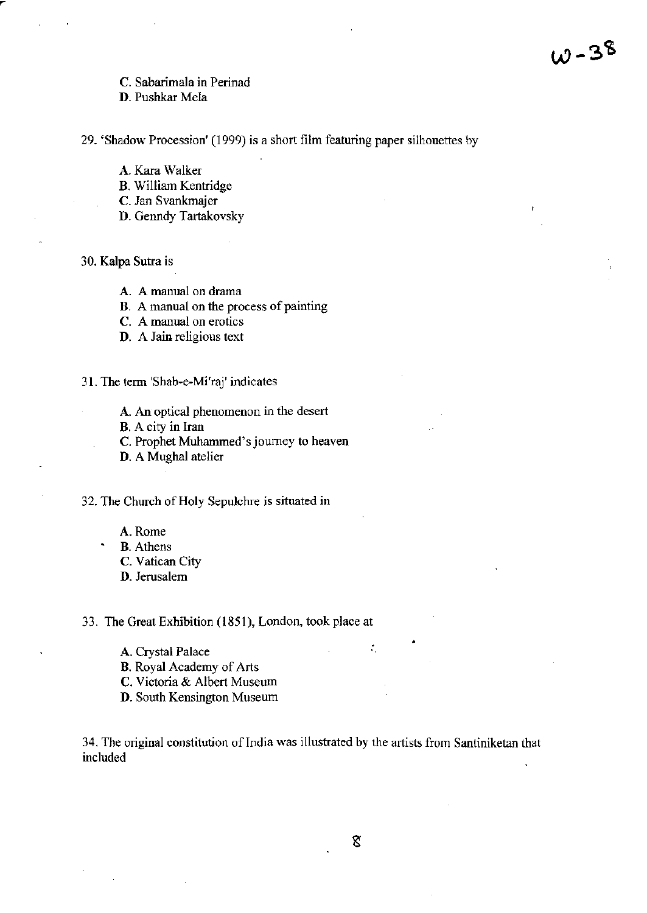**C. Sabarimala in Perinad** 

D. Pushkar Mela

**29. 'Shadow Procession' (1999) is a short film featuring paper silhouettes by** 

- A. Kara Walker
- B. William Kentridge
- C. Jan Svankmajer
- D. Genndy Tartakovsky
- 30. Kalpa Sutra is
	- **A. A manual on drama**
	- B. **A manual on the process of painting**
	- C. **A manual on erotics**
	- **D. A Jain religious text**
- **31. 'The term 'Shab-e-Mi'raj' indicates** 
	- **A. An optical phenomenon in the desert**
	- B. **A city in Iran**
	- **C. Prophet Muhammed's journey to heaven**
	- D. A Mughal atelier

**32. The Church** of Holy **Sepulchre is situated in** 

- **A.Rome**
- B. Athens
- **C. Vatican City**
- **D. Jerusalem**

33. The Great Exhibition (1851), London, took place at

- A. Crystal Palace
- B. Royal Academy of Arts
- **C. Victoria & Albert Museum**
- **D. South Kensington Museum**

**34. The original constitution** of India **was illustrated by the artists from Santiniketan that included** 

•

÷.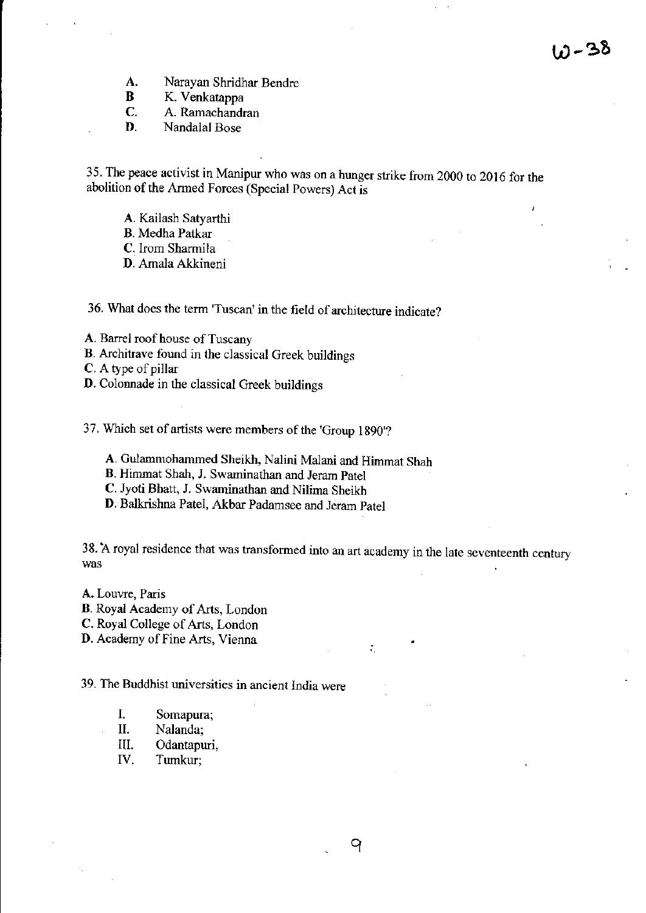- A. Narayan Shridhar Bendre<br>B. K. Venkatanna
- **B** K. Venkatappa<br>**C.** A. Ramachandr
- C. A. Ramachandran<br>D. Nandalal Rose
- Nandalal Bose

35. The peace activist in Manipur who was on a hunger strike from 2000 to 2016 for the abolition of the Armed Forces (Special Powers) Act is

- A. Kailash Satyarthi
- B. Medha Patkar
- C. Irom Sharmila
- D. Amala Akkineni

36. What does the term 'Tuscan' in the field of architecture indicate?

A. Barrel roof house of Tuscany

B. Architrave found in the classical Greek buildings

C. A type of pillar

D. Colonnade in the classical Greek buildings

37. Which set of artists were members of the 'Group 1890'?

- A. Gulammohammed Sheikh, Nalini Malani and Himmat Shah
- B. Himmat Shah, J. Swaminathan and Jeram Patel
- C. lyoti Bhatt, J. Swaminathan and Nilima Sheikh
- D. Baikrishna Patel, Akbar Padamsee and Jeram Patel

38. A royal residence that was transformed into an art academy in the late seventeenth century was

9

- A. Louvre, Paris
- B. Royal Academy of Arts, London
- C. Royal College of Arts, London
- D. Academy of Fine Arts, Vienna •

39. The Buddhist universities in ancient India were

- I. Somapura;
- II. Nalanda;
- III. Odantapuri,
- IV. Tumkur;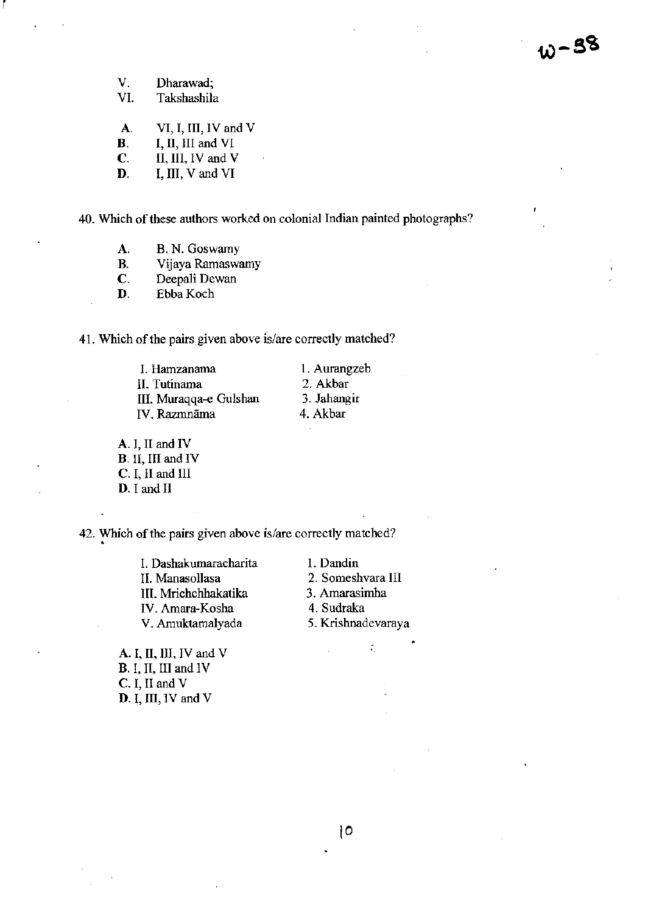- V. Dharawad;<br>VI. Takshashila
- Takshashila
- A. VI, I, III, IV and V
- B. I, II, III and VI
- 
- $C.$  II, III, IV and V<br>D. I. III, V and VI I, III, V and VI

**40. Which** of these **authors worked on colonial Indian painted photographs?** 

- A. B. N. Goswamy
- **B. Vijaya Ramaswamy**
- **C. Deepali Dewan**
- D. EbbaKoch

**41. Which** of the **pairs given above** is/are **correctly matched?** 

**1. Harnzanama II. Tutinama**  III. Muraqqa-e Gulshan IV. Razmnāma

**1. Aurangzeb**  2. Akbar 3. **Jahangir**  4. Akbar

A. I, II and IV B. II, III and IV C. I, II and III D. I and II

42. Which of the pairs given above is/are correctly matched?

**I. Dashakumaracharita II. Manasollasa**  III. Mrichchhakatika IV. Amara-Kosha V. Amuktamalyada

**1. Dandin** 

- 2. **Someshvara III**
- 3. **Amarasimha**
- 4. Sudraka
- 5. Krishnadevaraya

÷,

•

A. I, II, III, IV and V B. I, II, III and IV C. I, II and V D. I, III, IV and V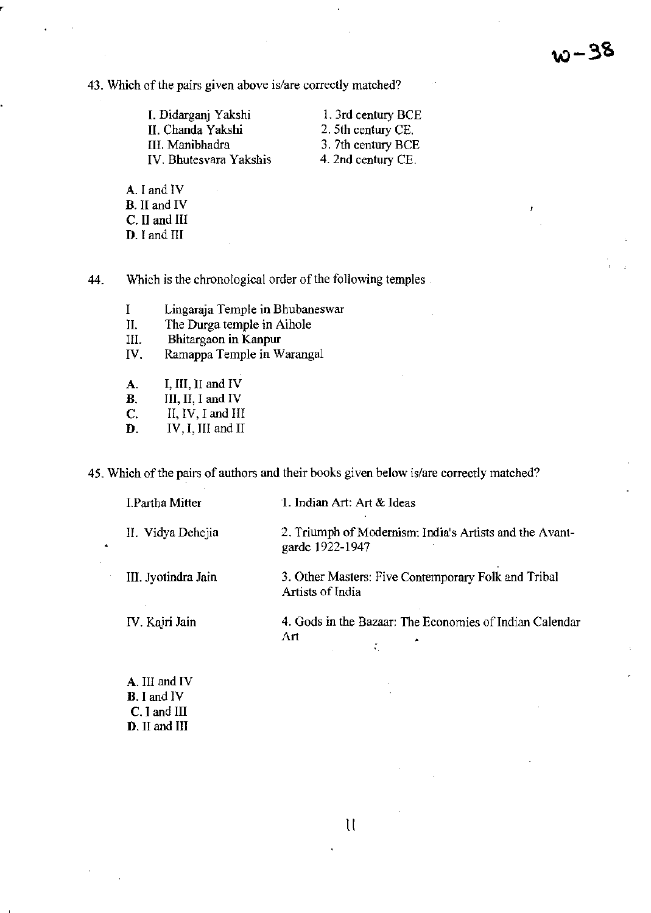$\ddot{ }$ 

**43. Which** of the **pairs given above is/are correctly matched?** 

I. Didarganj Yakshi II. Chanda Yakshi III. Manibhadra **IV. Bhutesvara Yakshis** 

 $\mathcal{L}$ 

1. 3rd century BCE 2. 5th century CE. 3. 7th century BCE 4. 2nd century CE.

A. I and IV B. II and IV C. II and III D. I and III

**44. Which is the chronological order** of the **following temples** 

- **I Lingaraja Temple in Bhubaneswar**
- **II. The Durga temple in Aihole**

**III. Bhitargaon in Kanpur** 

- IV. Ramappa Temple in Warangal
- A. I. III. II and IV
- B. III, II, I and IV
- C. II, IV, I and III
- D. IV, I, III and II

D. II and III

**45. Which** of the **pairs of authors and their books given below is/are correctly matched?** 

| I.Partha Mitter                                         | 1. Indian Art: Art & Ideas                                                 |
|---------------------------------------------------------|----------------------------------------------------------------------------|
| II. Vidya Dehejia                                       | 2. Triumph of Modernism: India's Artists and the Avant-<br>garde 1922-1947 |
| III. Jyotindra Jain                                     | 3. Other Masters: Five Contemporary Folk and Tribal<br>Artists of India    |
| IV. Kajri Jain                                          | 4. Gods in the Bazaar: The Economies of Indian Calendar<br>Art             |
| A. III and IV<br><b>B.</b> I and IV<br>$C. I$ and $III$ |                                                                            |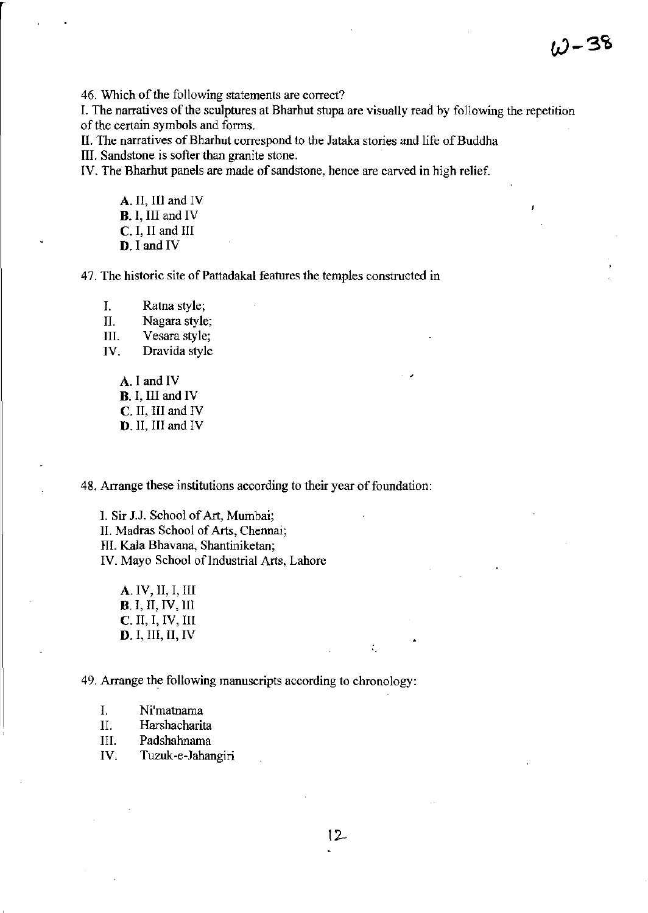**46. Which** of the **following statements are correct?** 

**I. The narratives** of the **sculptures at Bharhut stupa are visually read by following the repetition**  of the **certain symbols and forms.** 

**II. The narratives of Bharhut correspond to the Jataka stories and life of Buddha** 

**III. Sandstone is softer than granite stone.** 

**IV. The Bharhut panels are made of sandstone, hence are carved in high relief.** 

A. II. III and IV B. I, III and IV C. I. II and III D. I and IV

**47. The historic site of Pattadakal features the temples constructed in** 

**I. Ratna style;** 

II. Nagara style;

**III. Vesara style;** 

**IV. Dravida style** 

A. I and IV B. I. III and IV C. II. III and IV D. II. III and IV

**48. Arrange these institutions according to their year of foundation:** 

I. Sir J.J. School of Art. Mumbai; II. Madras School of Arts, Chennai; III. Kala Bhavana, Shantiniketan; **IV. Mayo School** of Industrial **Arts, Lahore** 

A. IV. II. I. III B. I. II. IV, III C. II, I, IV, III D. I, III, II, IV •

**49. Arrange the following manuscripts according to chronology:** 

| Ni'matnama |  |
|------------|--|
|------------|--|

**II. Harshacharita** 

III. Padshahnama

**IV. Tuzuk-e-Jahangiri**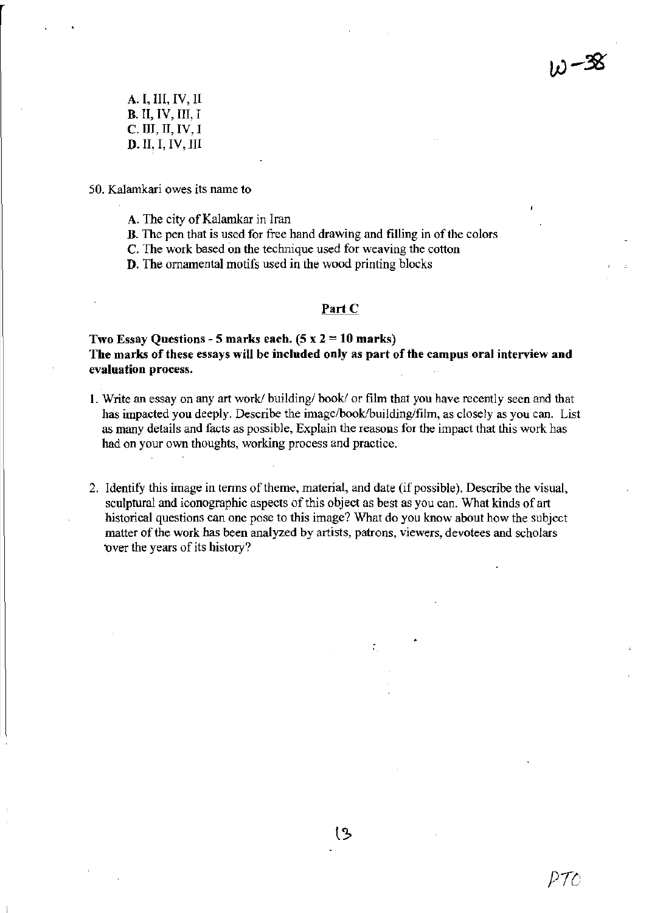A. I, III, IV, II B. II, IV, III, I C. III, II, IV, I D. II, I, IV, III

50. Kalamkari owes its name to

A. The city of Kalamkar in Iran

B. The pen that is used for free hand drawing and filling in of the colors

C. The work based on the technique used for weaving the cotton

D. The ornamental motifs used in the wood printing blocks

#### Part C

Two Essay Questions - 5 marks each.  $(5 \times 2 = 10 \text{ marks})$ The marks of these essays will be included only as part of the campus oral interview and evaluation process.

1. Write an essay on any art work/ building/ book/ or film that you have recently seen and that has impacted you deeply. Describe the image/book/building/film, as closely as you can. List as many details and facts as possible, Explain the reasons for the impact that this work has had on your own thoughts, working process and practice.

2. Identify this image in tenns of theme, material, and date (if possible). Describe the visual, sculptural and iconographic aspects of this object as best as you can. What kinds of art historical questions can one pose to this image? What do you know about how the subject matter of the work has been analyzed by artists, patrons, viewers, devotees and scholars by over the years of its history?

13

•

&~ھ